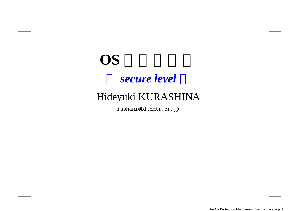# **OS** *secure level*

#### Hideyuki KURASHINA

rushani@bl.mmtr.or.jp

An Os Protection Mechanism: Secure Level – p. 1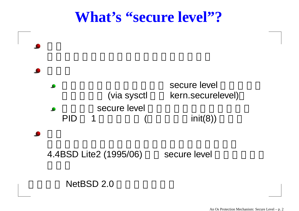#### **What's "secure level"?**



#### NetBSD 2.0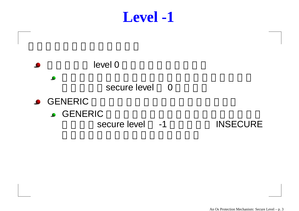#### **Level -1**

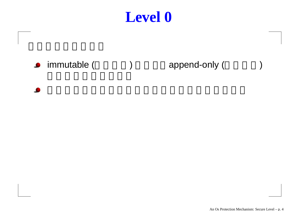### **Level 0**

#### **•** immutable ( ( ) append-only ( )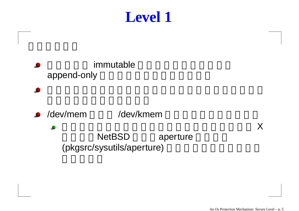# **Level 1**

immutable append-only

 $\bullet$ 

/dev/mem/dev/kmem

> **NetBSD**  aperture (pkgsrc/sysutils/aperture)

X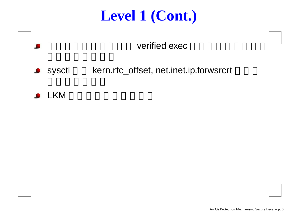# **Level 1 (Cont.)**

verified exec

- sysctl kern.rtc\_offset, net.inet.ip.forwsrcrt
- LKM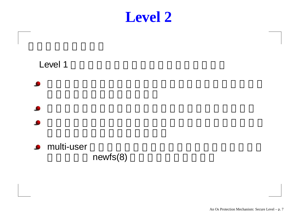

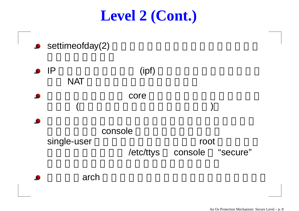# **Level 2 (Cont.)**

- **settimeofday(2)**
- $\bullet$  IP (ipf) NAT core  $($ console single-user root /etc/ttys console "secure" arch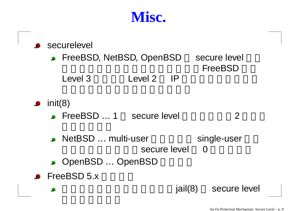### **Misc.**

|                                                | <b>Securelevel</b>        |         |         |  |                                |
|------------------------------------------------|---------------------------|---------|---------|--|--------------------------------|
| • FreeBSD, NetBSD, OpenBSD                     |                           |         |         |  | secure level<br><b>FreeBSD</b> |
|                                                | Level 3                   | Level 2 | IP      |  |                                |
| init(8)                                        | • FreeBSD  1 secure level |         |         |  | $\overline{2}$                 |
|                                                | • NetBSD  multi-user      |         |         |  | single-user                    |
| secure level<br>$\Omega$<br>• OpenBSD  OpenBSD |                           |         |         |  |                                |
|                                                | $\bullet$ FreeBSD 5.x     |         |         |  |                                |
|                                                |                           |         | jail(8) |  | secure leve                    |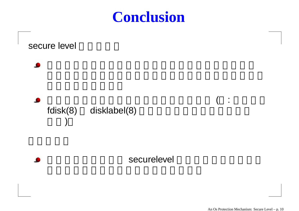# **Conclusion**



An Os Protection Mechanism: Secure Level – p. 10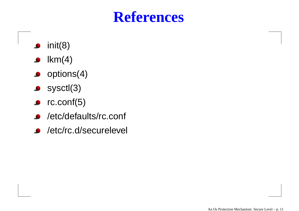# **References**

- init(8)  $\bullet$
- $lkm(4)$  $\bullet$
- $\bullet$  options(4)
- $\bullet$  sysctl $(3)$
- $\bullet$  rc.conf(5)
- /etc/defaults/rc.conf  $\bullet$
- /etc/rc.d/securelevel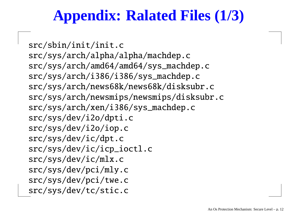# **Appendix: Ralated Files (1/3)**

src/sbin/init/init.c src/sys/arch/alpha/alpha/machdep.c src/sys/arch/amd64/amd64/sys\_machdep.c src/sys/arch/i386/i386/sys\_machdep.c src/sys/arch/news68k/news68k/disksubr.c src/sys/arch/newsmips/newsmips/disksubr.c src/sys/arch/xen/i386/sys\_machdep.c src/sys/dev/i2o/dpti.c src/sys/dev/i2o/iop.c src/sys/dev/ic/dpt.c src/sys/dev/ic/icp\_ioctl.c src/sys/dev/ic/mlx.c src/sys/dev/pci/mly.c src/sys/dev/pci/twe.c src/sys/dev/tc/stic.c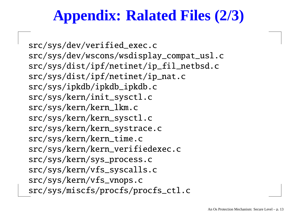# **Appendix: Ralated Files (2/3)**

src/sys/dev/verified\_exec.c src/sys/dev/wscons/wsdisplay\_compat\_usl.c src/sys/dist/ipf/netinet/ip\_fil\_netbsd.c src/sys/dist/ipf/netinet/ip\_nat.c src/sys/ipkdb/ipkdb\_ipkdb.c src/sys/kern/init\_sysctl.c src/sys/kern/kern\_lkm.c src/sys/kern/kern\_sysctl.c src/sys/kern/kern\_systrace.c src/sys/kern/kern\_time.c src/sys/kern/kern\_verifiedexec.c src/sys/kern/sys\_process.c src/sys/kern/vfs\_syscalls.c src/sys/kern/vfs\_vnops.c src/sys/miscfs/procfs/procfs\_ctl.c